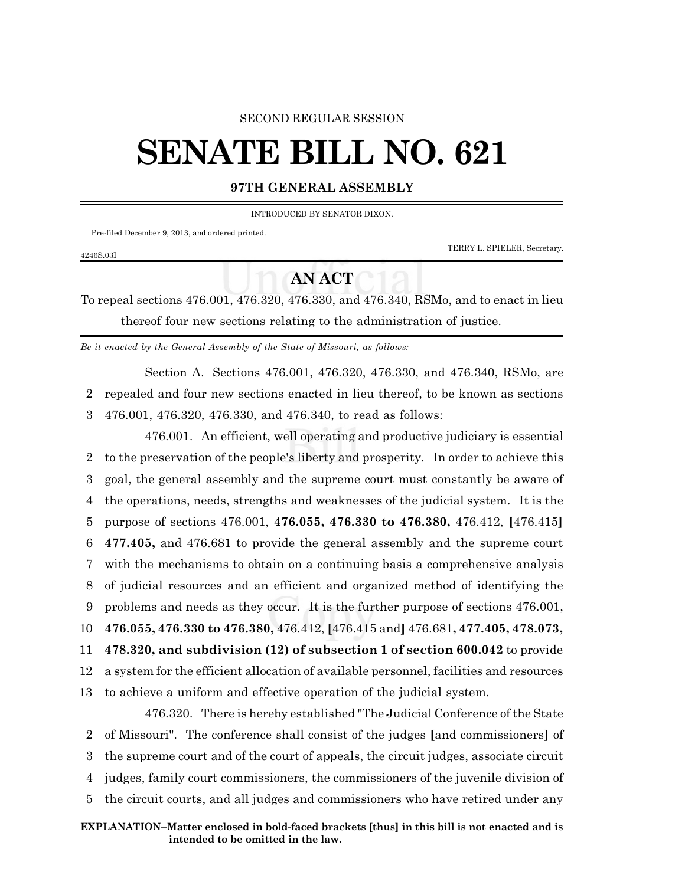#### SECOND REGULAR SESSION

# **SENATE BILL NO. 621**

### **97TH GENERAL ASSEMBLY**

INTRODUCED BY SENATOR DIXON.

Pre-filed December 9, 2013, and ordered printed.

TERRY L. SPIELER, Secretary.

## **AN ACT**

To repeal sections 476.001, 476.320, 476.330, and 476.340, RSMo, and to enact in lieu thereof four new sections relating to the administration of justice.

*Be it enacted by the General Assembly of the State of Missouri, as follows:*

Section A. Sections 476.001, 476.320, 476.330, and 476.340, RSMo, are 2 repealed and four new sections enacted in lieu thereof, to be known as sections 3 476.001, 476.320, 476.330, and 476.340, to read as follows:

476.001. An efficient, well operating and productive judiciary is essential to the preservation of the people's liberty and prosperity. In order to achieve this goal, the general assembly and the supreme court must constantly be aware of the operations, needs, strengths and weaknesses of the judicial system. It is the purpose of sections 476.001, **476.055, 476.330 to 476.380,** 476.412, **[**476.415**] 477.405,** and 476.681 to provide the general assembly and the supreme court with the mechanisms to obtain on a continuing basis a comprehensive analysis of judicial resources and an efficient and organized method of identifying the problems and needs as they occur. It is the further purpose of sections 476.001, **476.055, 476.330 to 476.380,** 476.412, **[**476.415 and**]** 476.681**, 477.405, 478.073, 478.320, and subdivision (12) of subsection 1 of section 600.042** to provide a system for the efficient allocation of available personnel, facilities and resources to achieve a uniform and effective operation of the judicial system. 476.320. There is hereby established "The Judicial Conference ofthe State of Missouri". The conference shall consist of the judges **[**and commissioners**]** of the supreme court and of the court of appeals, the circuit judges, associate circuit

4 judges, family court commissioners, the commissioners of the juvenile division of

5 the circuit courts, and all judges and commissioners who have retired under any

#### 4246S.03I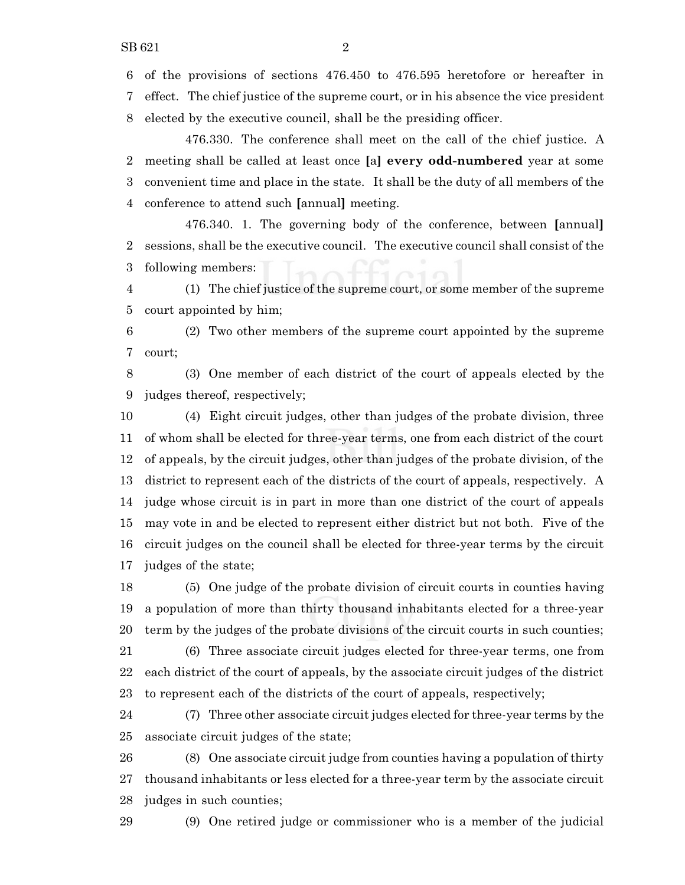of the provisions of sections 476.450 to 476.595 heretofore or hereafter in

effect. The chief justice of the supreme court, or in his absence the vice president

elected by the executive council, shall be the presiding officer.

476.330. The conference shall meet on the call of the chief justice. A meeting shall be called at least once **[**a**] every odd-numbered** year at some convenient time and place in the state. It shall be the duty of all members of the conference to attend such **[**annual**]** meeting.

476.340. 1. The governing body of the conference, between **[**annual**]** sessions, shall be the executive council. The executive council shall consist of the following members:

 (1) The chief justice of the supreme court, or some member of the supreme court appointed by him;

 (2) Two other members of the supreme court appointed by the supreme court;

 (3) One member of each district of the court of appeals elected by the judges thereof, respectively;

 (4) Eight circuit judges, other than judges of the probate division, three of whom shall be elected for three-year terms, one from each district of the court of appeals, by the circuit judges, other than judges of the probate division, of the district to represent each of the districts of the court of appeals, respectively. A judge whose circuit is in part in more than one district of the court of appeals may vote in and be elected to represent either district but not both. Five of the circuit judges on the council shall be elected for three-year terms by the circuit judges of the state;

 (5) One judge of the probate division of circuit courts in counties having a population of more than thirty thousand inhabitants elected for a three-year term by the judges of the probate divisions of the circuit courts in such counties;

 (6) Three associate circuit judges elected for three-year terms, one from each district of the court of appeals, by the associate circuit judges of the district to represent each of the districts of the court of appeals, respectively;

 (7) Three other associate circuit judges elected for three-year terms by the associate circuit judges of the state;

 (8) One associate circuit judge from counties having a population of thirty thousand inhabitants or less elected for a three-year term by the associate circuit judges in such counties;

(9) One retired judge or commissioner who is a member of the judicial